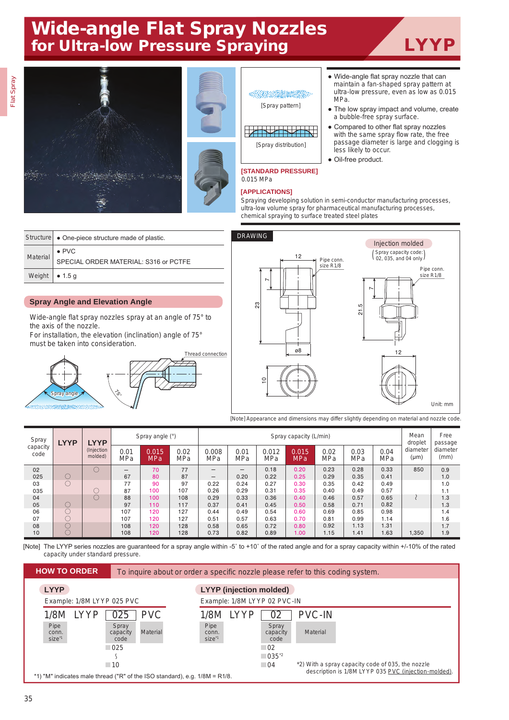## Wide-angle Flat Spray Nozzles for Ultra-low Pressure Spraying **LYYP**



chemical spraying to surface treated steel plates

|                        | Structure • One-piece structure made of plastic.       |  |  |  |  |  |  |  |
|------------------------|--------------------------------------------------------|--|--|--|--|--|--|--|
| <b>Material</b>        | $\bullet$ PVC<br>SPECIAL ORDER MATERIAL: S316 or PCTFE |  |  |  |  |  |  |  |
| Weight $\bullet$ 1.5 g |                                                        |  |  |  |  |  |  |  |

## **Spray Angle and Elevation Angle**

Wide-angle flat spray nozzles spray at an angle of 75° to the axis of the nozzle.

For installation, the elevation (inclination) angle of 75° must be taken into consideration.





[Note] Appearance and dimensions may differ slightly depending on material and nozzle code.

| Spray<br>capacity<br>code | <b>LYYP</b> | <b>LYYP</b><br>(Injection<br>molded) | Spray angle (°)    |              |                    | Spray capacity (L/min)   |                    |              |                     |             |                    |             | Mean<br>droplet  | Free<br>passage  |
|---------------------------|-------------|--------------------------------------|--------------------|--------------|--------------------|--------------------------|--------------------|--------------|---------------------|-------------|--------------------|-------------|------------------|------------------|
|                           |             |                                      | 0.01<br><b>MPa</b> | 0.015<br>MPa | 0.02<br><b>MPa</b> | 0.008<br>MPa             | 0.01<br><b>MPa</b> | 0.012<br>MPa | 0.015<br><b>MPa</b> | 0.02<br>MPa | 0.03<br><b>MPa</b> | 0.04<br>MPa | diameter<br>(µm) | diameter<br>(mm) |
| 02                        |             |                                      | —                  | 70           | 77                 | $\qquad \qquad -$        | –                  | 0.18         | 0.20                | 0.23        | 0.28               | 0.33        | 850              | 0.9              |
| 025                       |             |                                      | 67                 | 80           | 87                 | $\overline{\phantom{m}}$ | 0.20               | 0.22         | 0.25                | 0.29        | 0.35               | 0.41        |                  | 1.0              |
| 03                        | ()          |                                      | 77                 | 90           | 97                 | 0.22                     | 0.24               | 0.27         | 0.30                | 0.35        | 0.42               | 0.49        |                  | 1.0              |
| 035                       |             |                                      | 87                 | 100          | 107                | 0.26                     | 0.29               | 0.31         | 0.35                | 0.40        | 0.49               | 0.57        |                  | 1.1              |
| 04                        |             |                                      | 88                 | 100          | 108                | 0.29                     | 0.33               | 0.36         | 0.40                | 0.46        | 0.57               | 0.65        |                  | 1.3              |
| 05                        |             |                                      | 97                 | 110          | 117                | 0.37                     | 0.41               | 0.45         | 0.50                | 0.58        | 0.71               | 0.82        |                  | 1.3              |
| 06                        |             |                                      | 107                | 120          | 127                | 0.44                     | 0.49               | 0.54         | 0.60                | 0.69        | 0.85               | 0.98        |                  | 1.4              |
| 07                        |             |                                      | 107                | 120          | 127                | 0.51                     | 0.57               | 0.63         | 0.70                | 0.81        | 0.99               | 1.14        |                  | 1.6              |
| 08                        |             |                                      | 108                | 120          | 128                | 0.58                     | 0.65               | 0.72         | 0.80                | 0.92        | 1.13               | 1.31        |                  | 1.7              |
| 10                        |             |                                      | 108                | 120          | 128                | 0.73                     | 0.82               | 0.89         | 1.00 <sub>1</sub>   | 1.15        | 1.41               | 1.63        | 1,350            | 1.9              |

[Note] The LYYP series nozzles are guaranteed for a spray angle within -5˚ to +10˚ of the rated angle and for a spray capacity within +/-10% of the rated capacity under standard pressure.